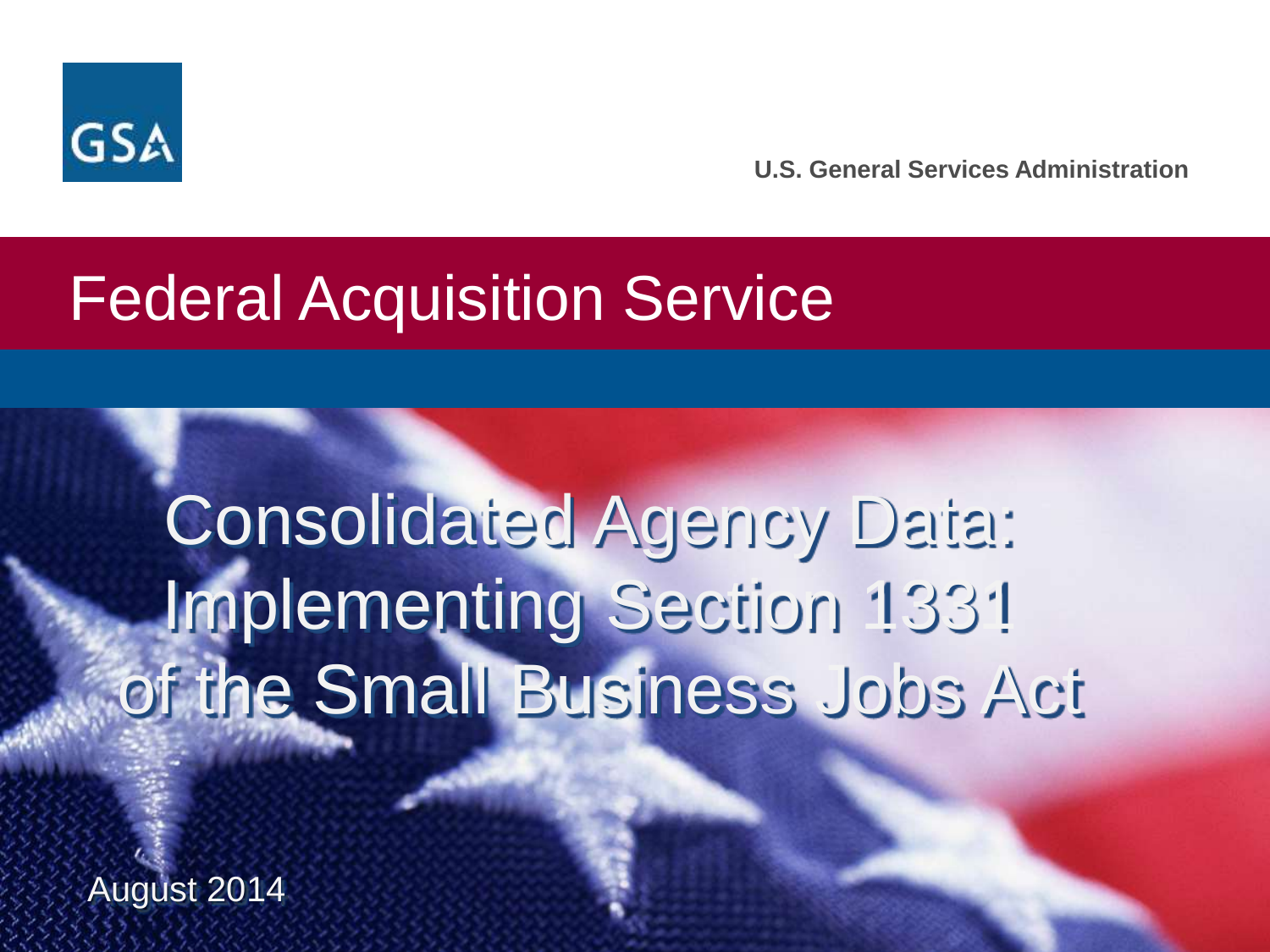

**U.S. General Services Administration**

## Federal Acquisition Service

# **Consolidated Agency Data:** Implementing Section 1331 of the Small Business Jobs Act

August 2014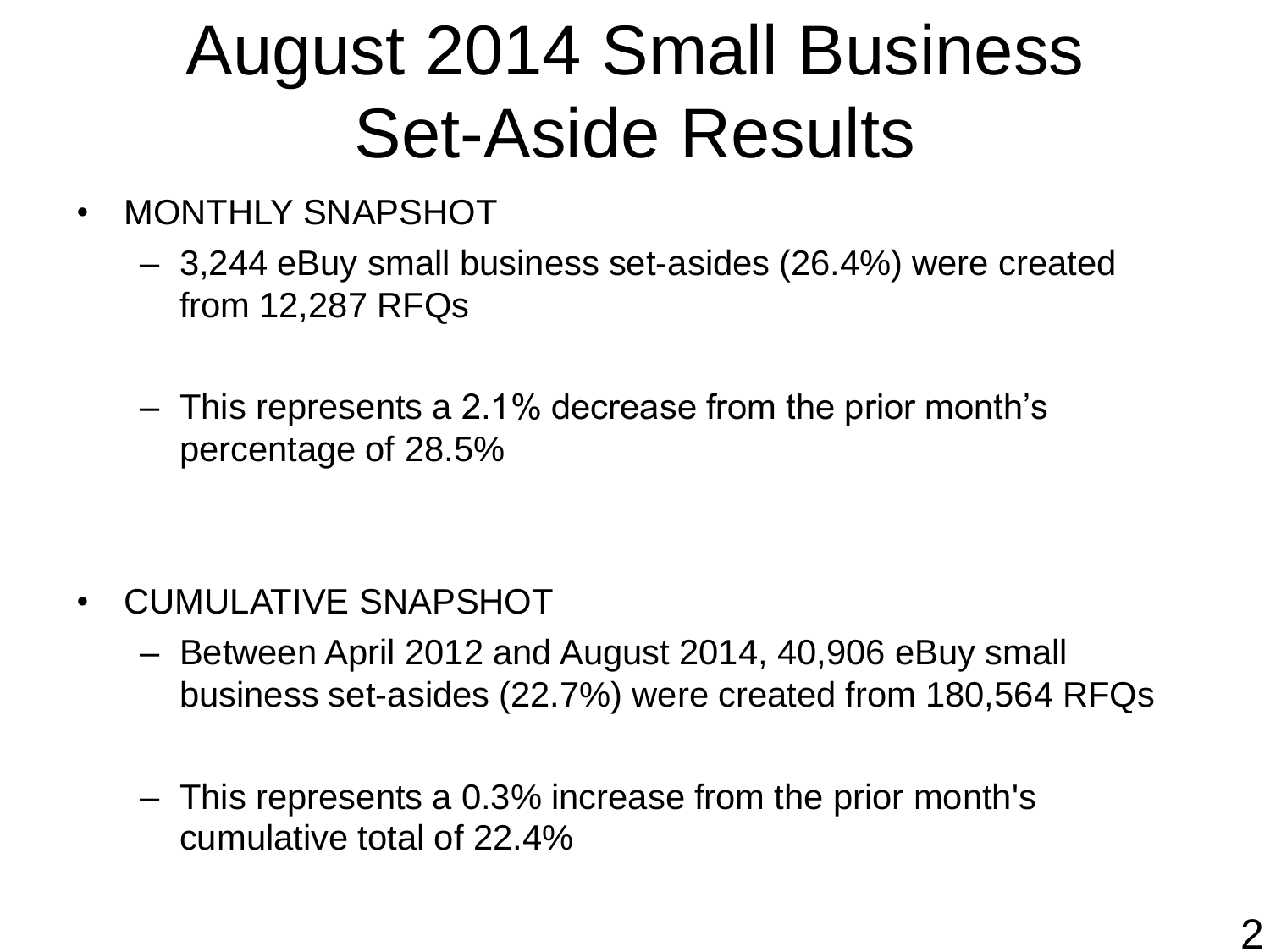# August 2014 Small Business Set-Aside Results

- MONTHLY SNAPSHOT
	- 3,244 eBuy small business set-asides (26.4%) were created from 12,287 RFQs
	- This represents a 2.1% decrease from the prior month's percentage of 28.5%

- CUMULATIVE SNAPSHOT
	- Between April 2012 and August 2014, 40,906 eBuy small business set-asides (22.7%) were created from 180,564 RFQs
	- This represents a 0.3% increase from the prior month's cumulative total of 22.4%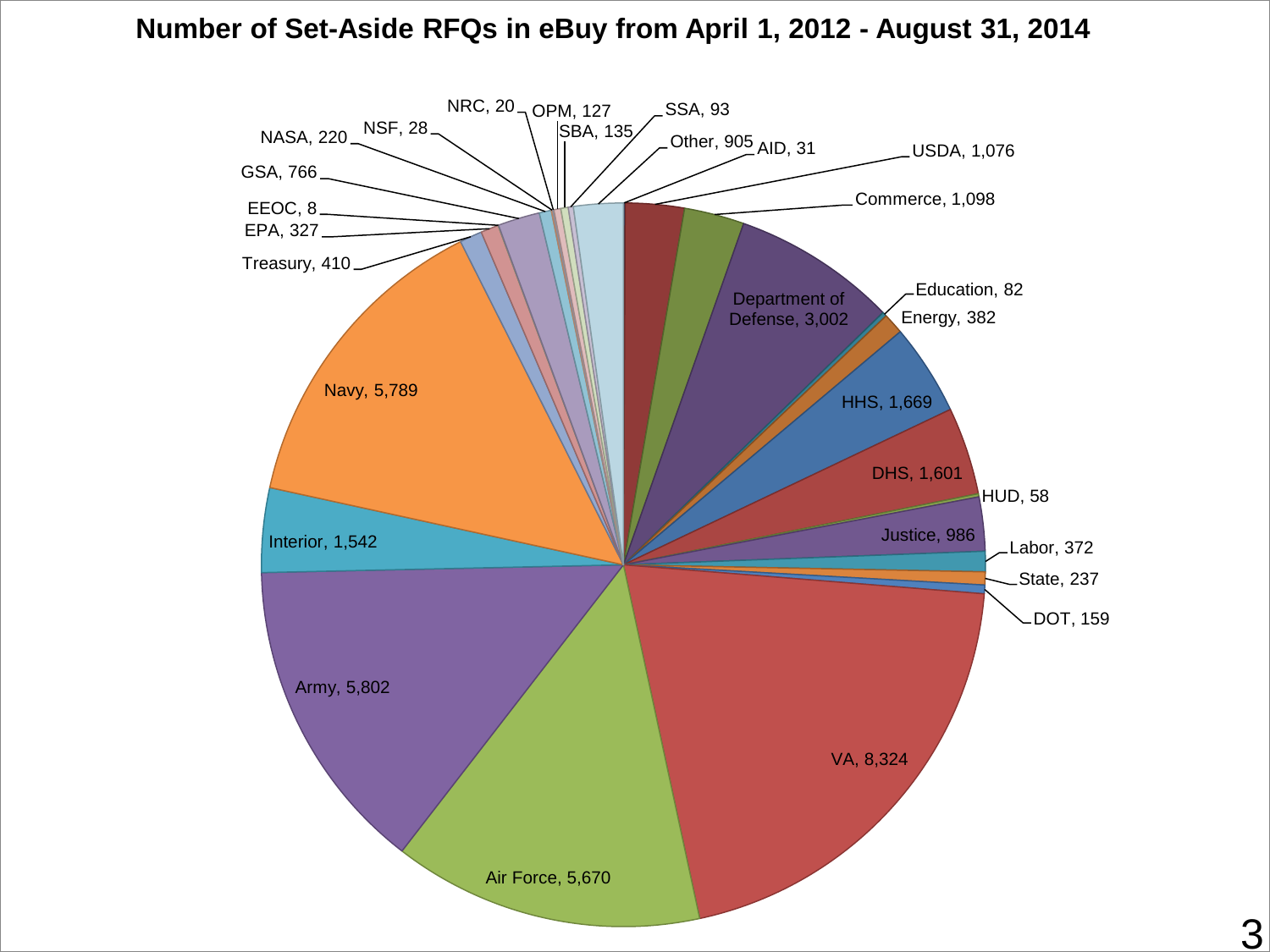#### **Number of Set-Aside RFQs in eBuy from April 1, 2012 - August 31, 2014**

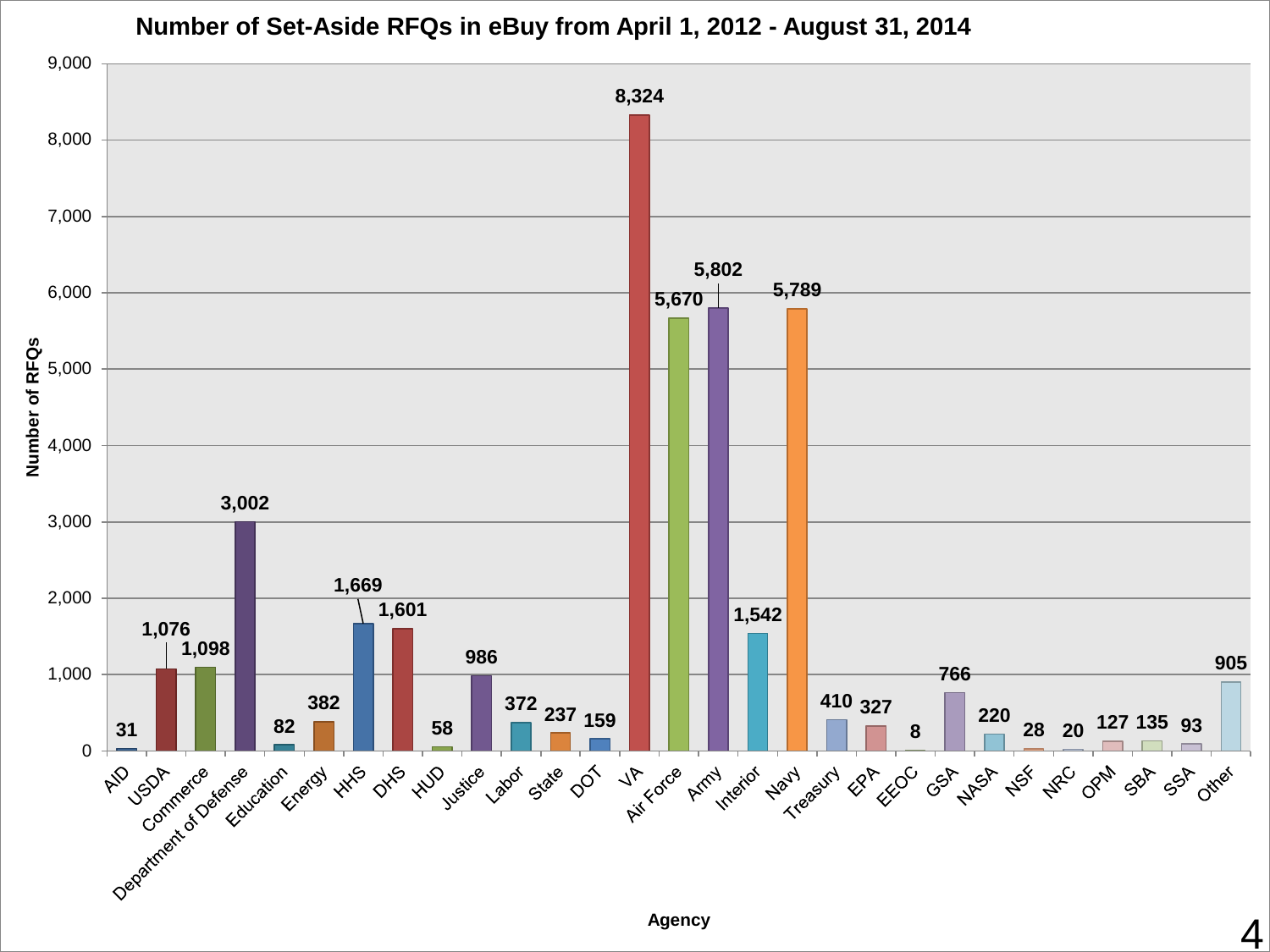

#### **Number of Set-Aside RFQs in eBuy from April 1, 2012 - August 31, 2014**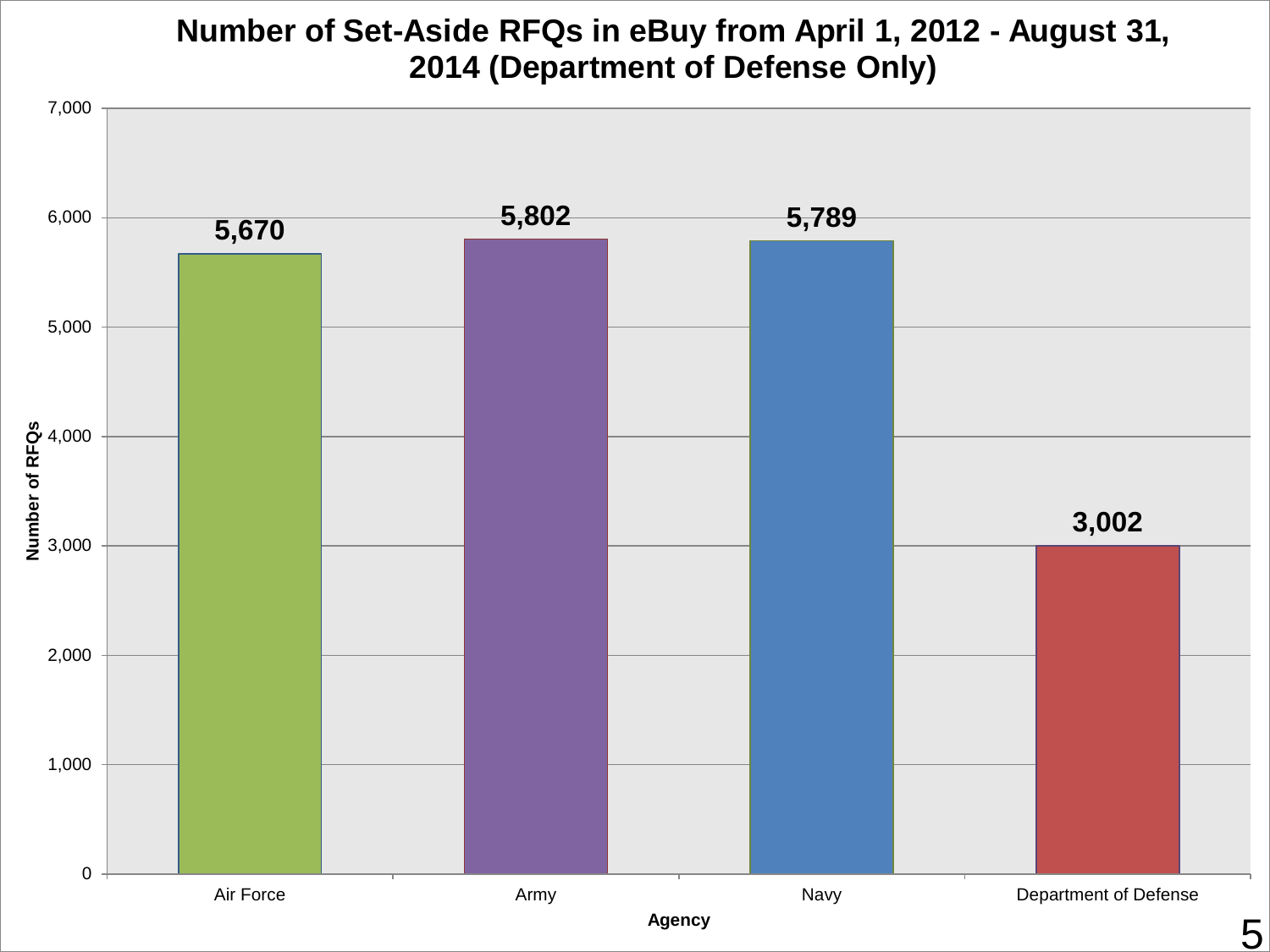#### **Number of Set-Aside RFQs in eBuy from April 1, 2012 - August 31, 2014 (Department of Defense Only)**

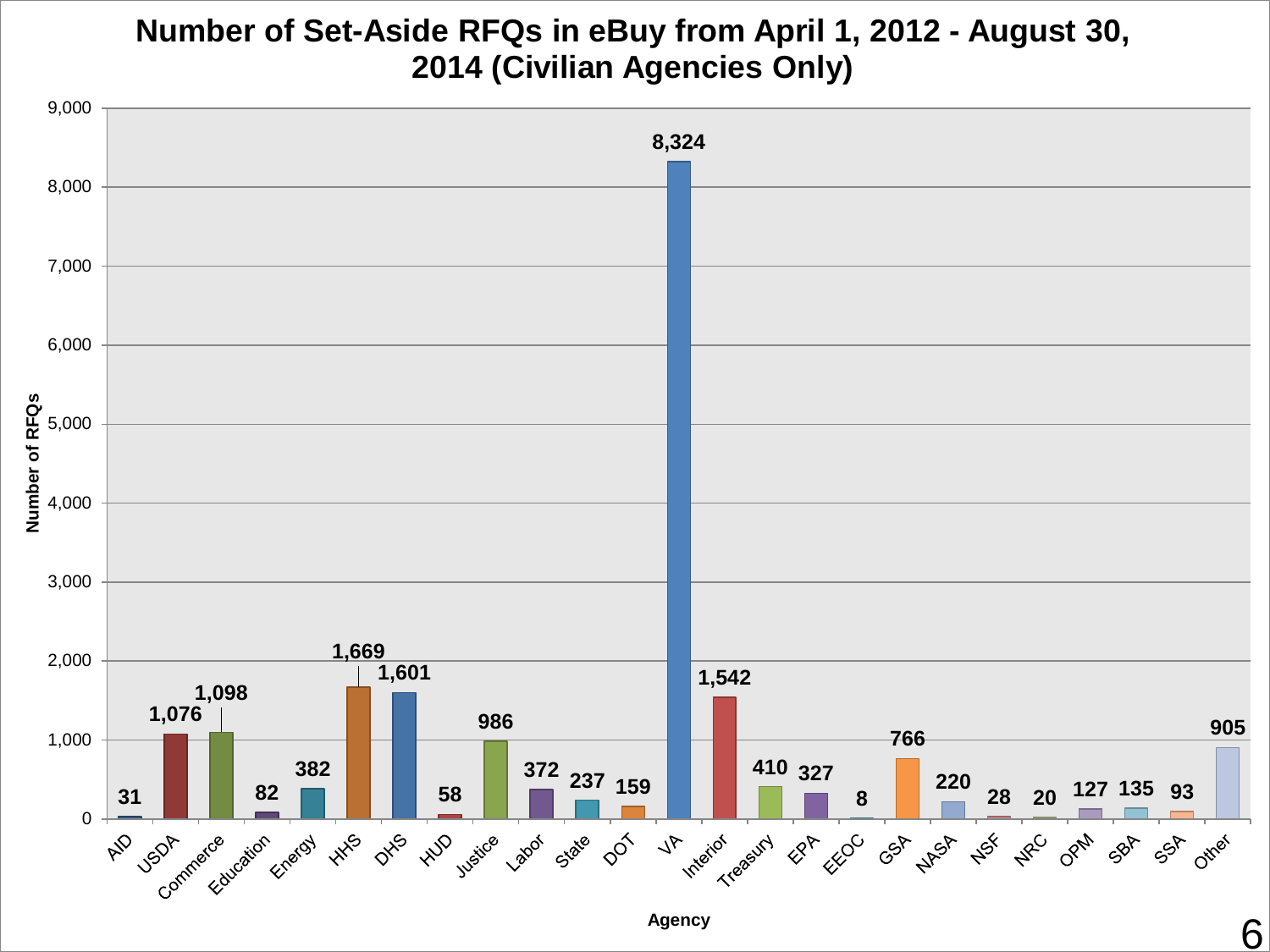#### **Number of Set-Aside RFQs in eBuy from April 1, 2012 - August 30, 2014 (Civilian Agencies Only)**



**Agency**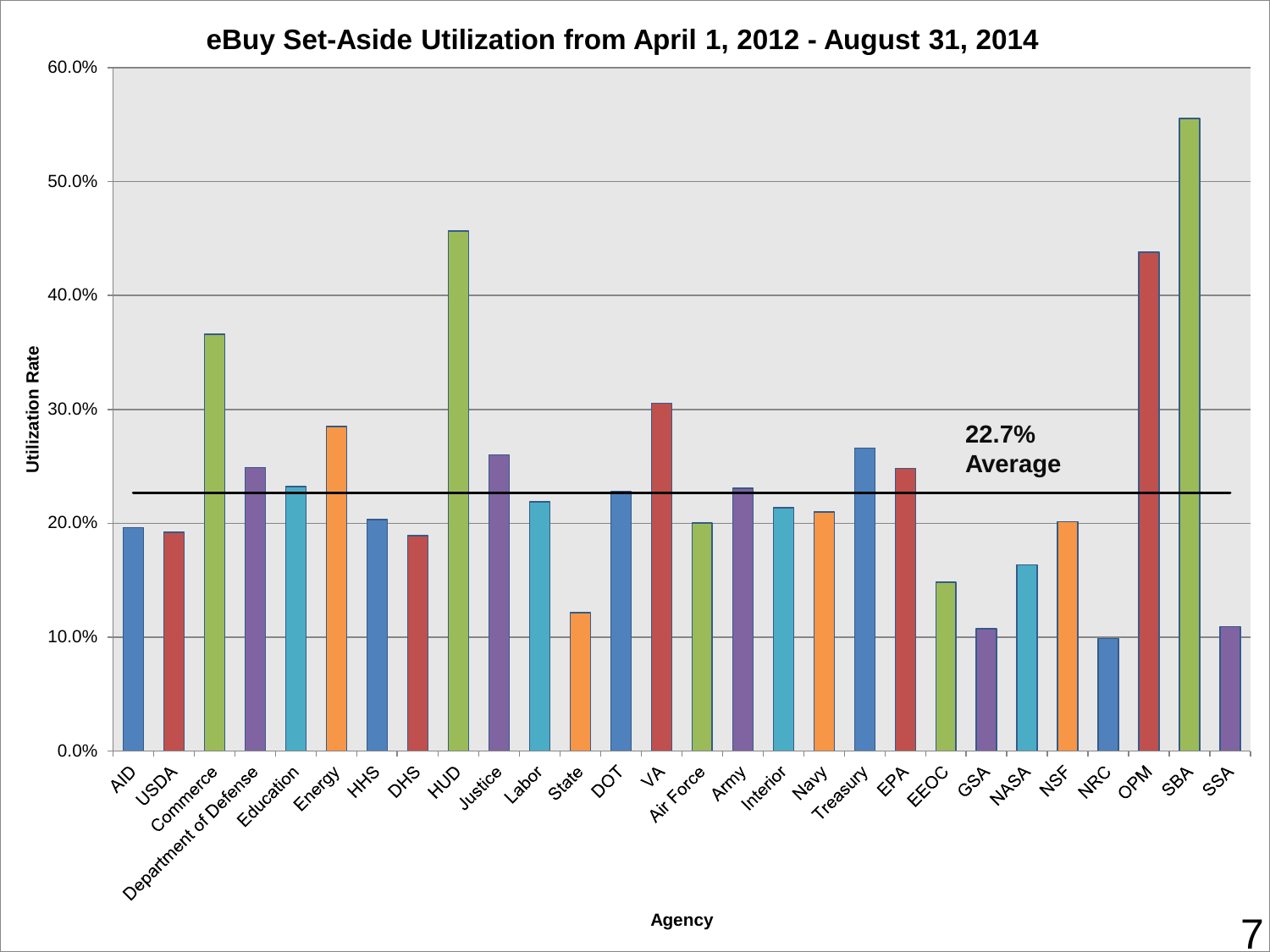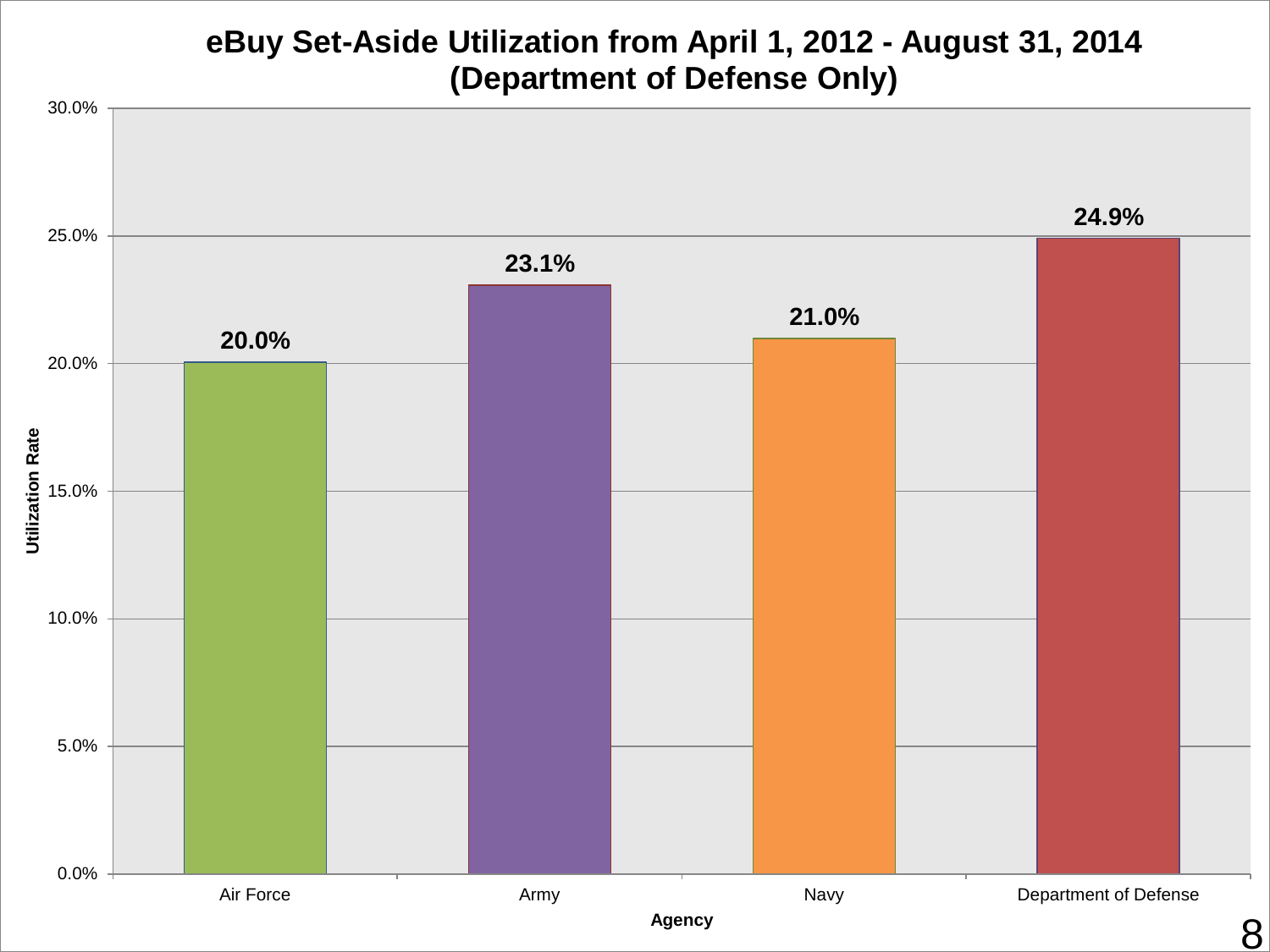#### **eBuy Set-Aside Utilization from April 1, 2012 - August 31, 2014 (Department of Defense Only)**

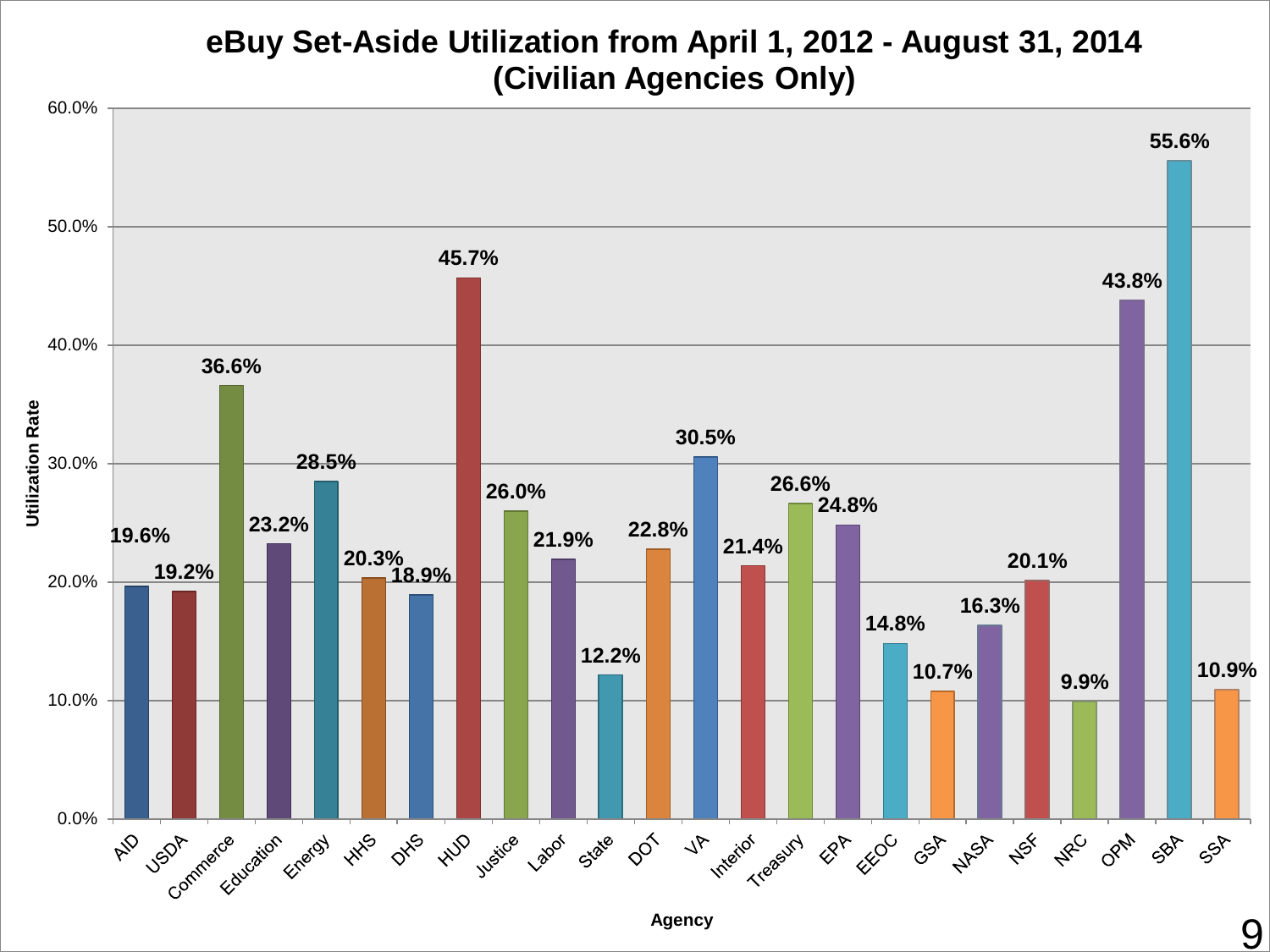#### **eBuy Set-Aside Utilization from April 1, 2012 - August 31, 2014 (Civilian Agencies Only)**



**Agency**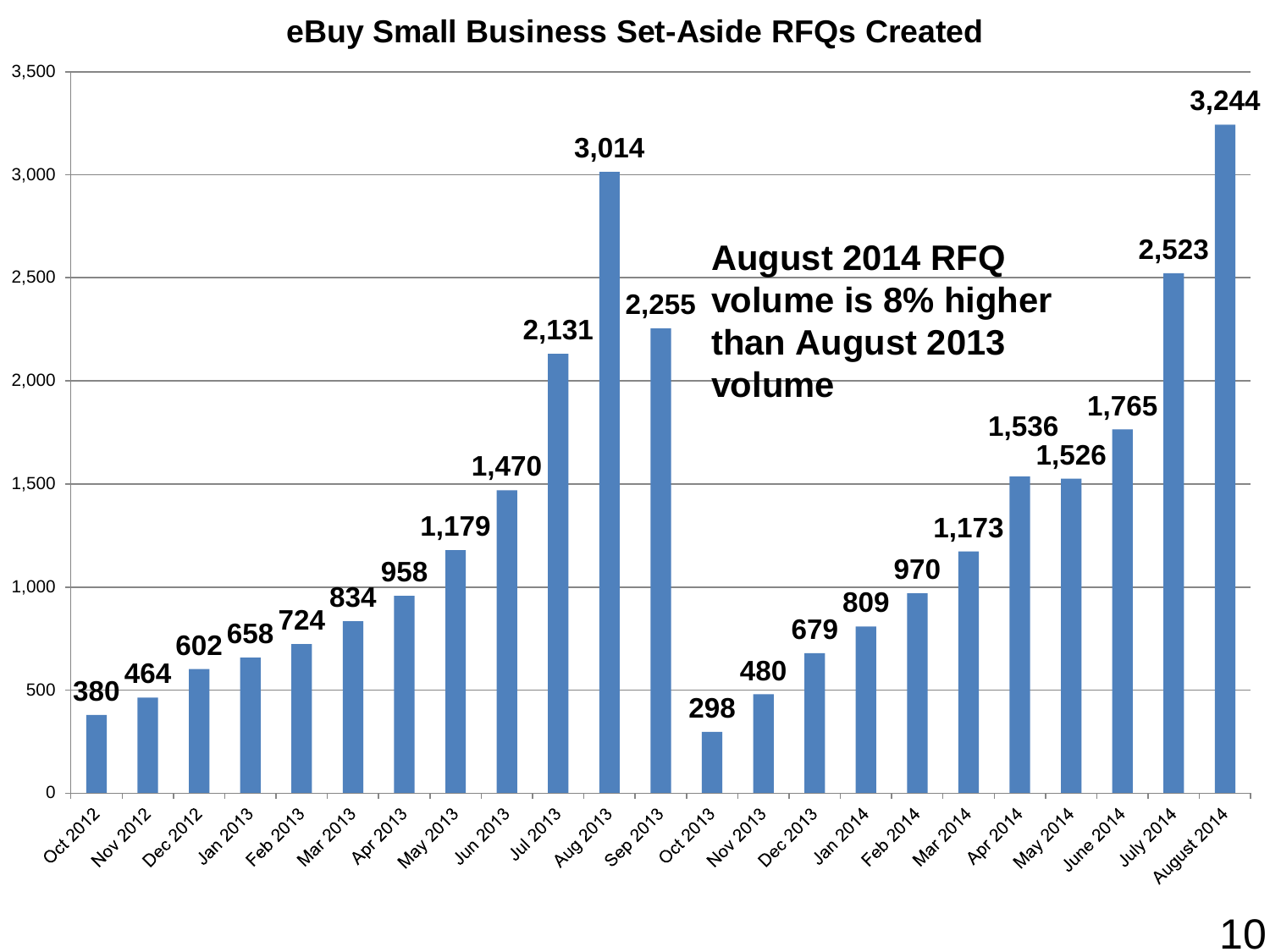**eBuy Small Business Set-Aside RFQs Created**

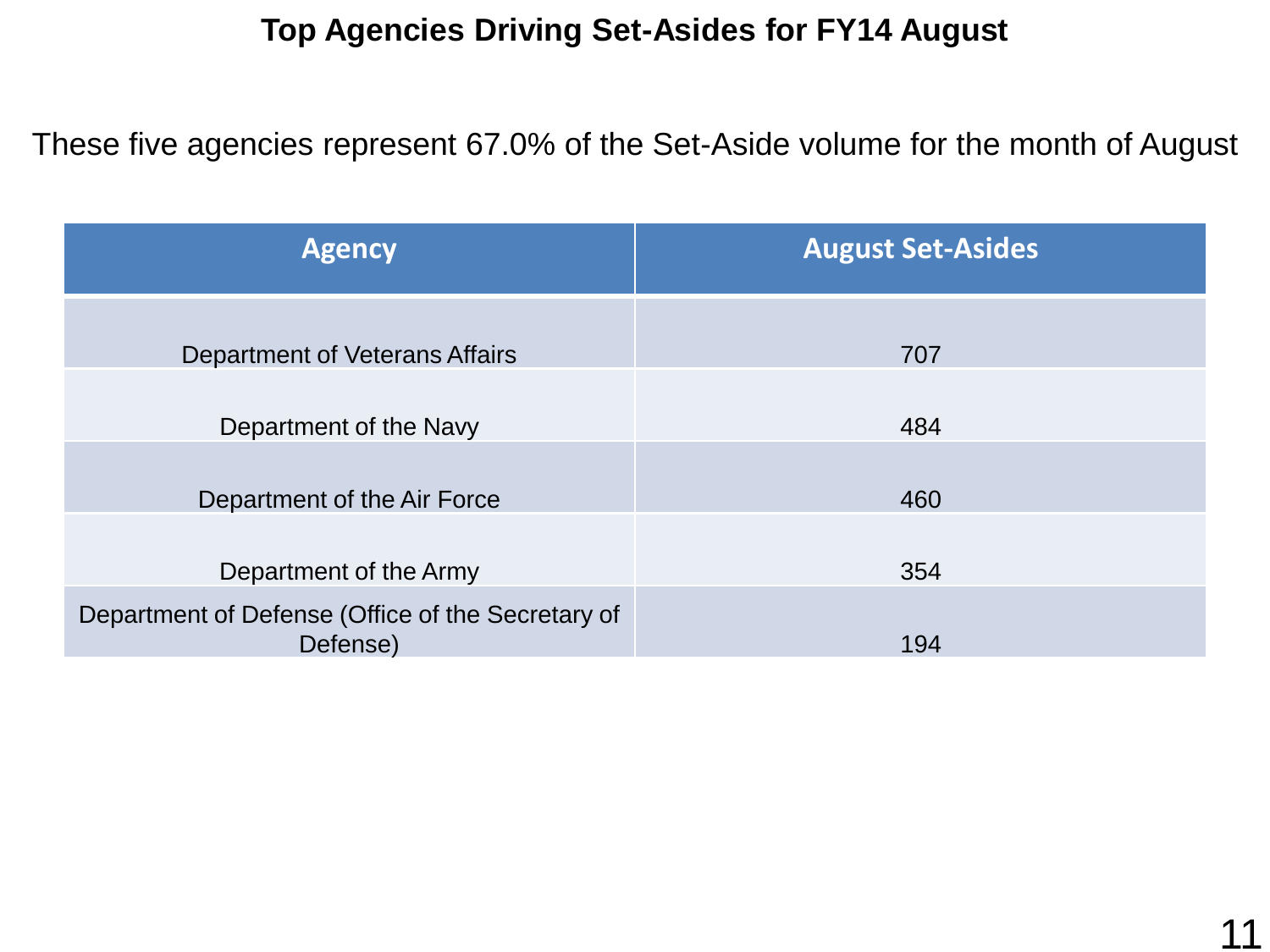#### **Top Agencies Driving Set-Asides for FY14 August**

These five agencies represent 67.0% of the Set-Aside volume for the month of August

| <b>Agency</b>                                                 | <b>August Set-Asides</b> |
|---------------------------------------------------------------|--------------------------|
| Department of Veterans Affairs                                | 707                      |
| Department of the Navy                                        | 484                      |
| Department of the Air Force                                   | 460                      |
| Department of the Army                                        | 354                      |
| Department of Defense (Office of the Secretary of<br>Defense) | 194                      |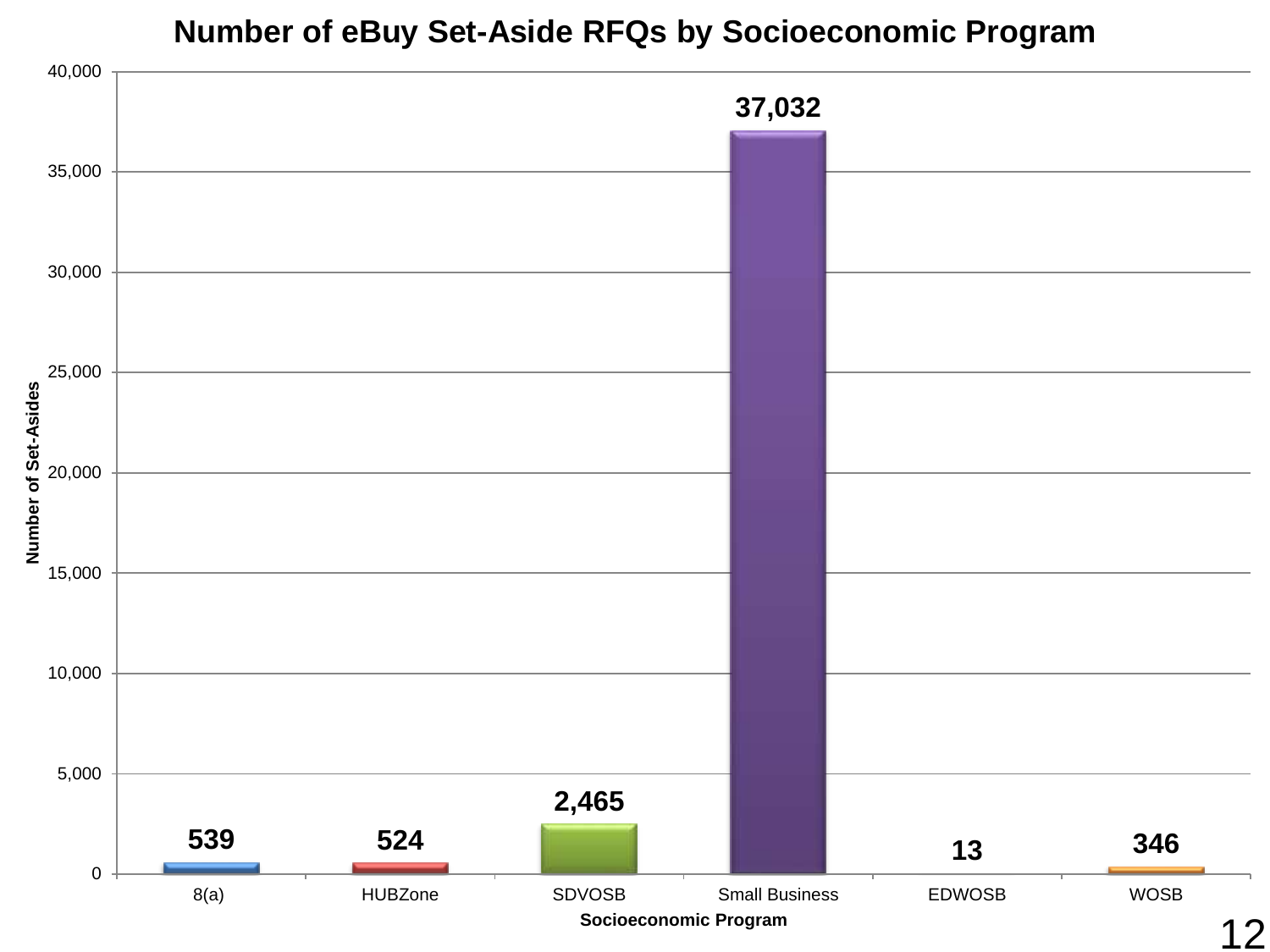#### **Number of eBuy Set-Aside RFQs by Socioeconomic Program**

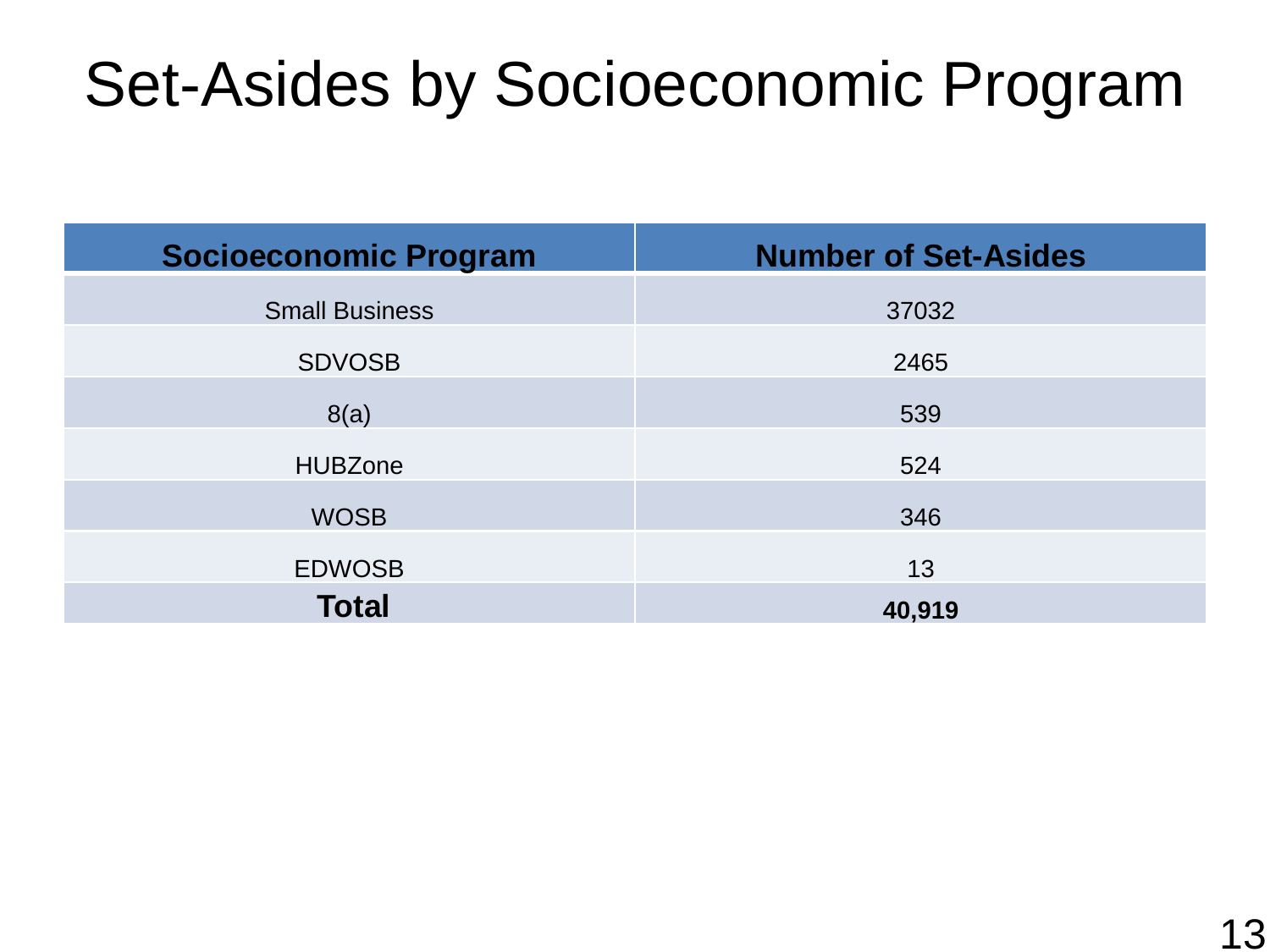## Set-Asides by Socioeconomic Program

| <b>Socioeconomic Program</b> | <b>Number of Set-Asides</b> |
|------------------------------|-----------------------------|
| <b>Small Business</b>        | 37032                       |
| <b>SDVOSB</b>                | 2465                        |
| 8(a)                         | 539                         |
| <b>HUBZone</b>               | 524                         |
| <b>WOSB</b>                  | 346                         |
| <b>EDWOSB</b>                | 13                          |
| <b>Total</b>                 | 40,919                      |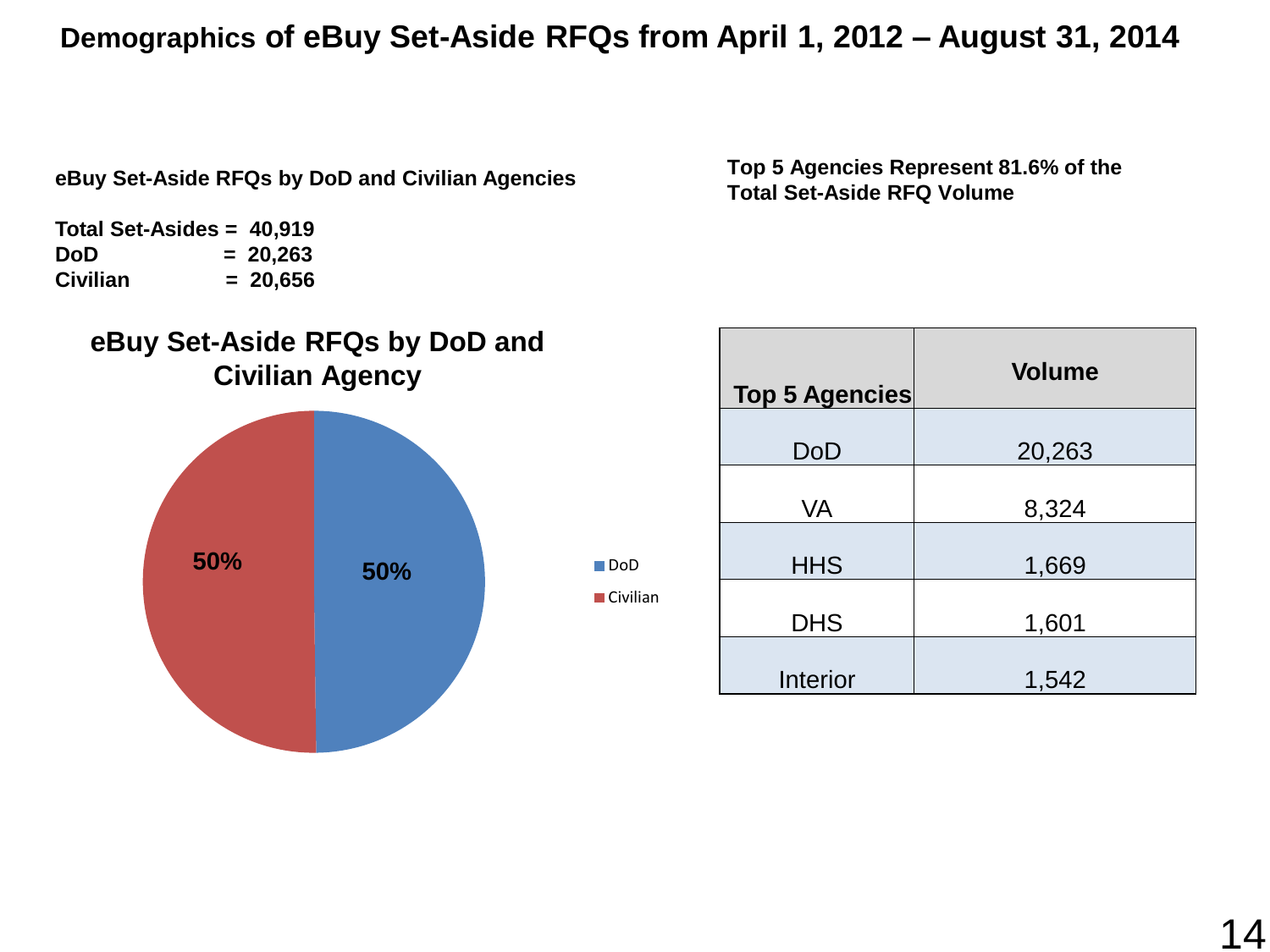#### **Demographics of eBuy Set-Aside RFQs from April 1, 2012 – August 31, 2014**

■DoD **■** Civilian

**eBuy Set-Aside RFQs by DoD and Civilian Agencies**

**Total Set-Asides = 40,919 DoD = 20,263 Civilian = 20,656**



**Top 5 Agencies Represent 81.6% of the Total Set-Aside RFQ Volume**

| <b>Top 5 Agencies</b> | <b>Volume</b> |
|-----------------------|---------------|
| DoD                   | 20,263        |
| <b>VA</b>             | 8,324         |
| <b>HHS</b>            | 1,669         |
| <b>DHS</b>            | 1,601         |
| Interior              | 1,542         |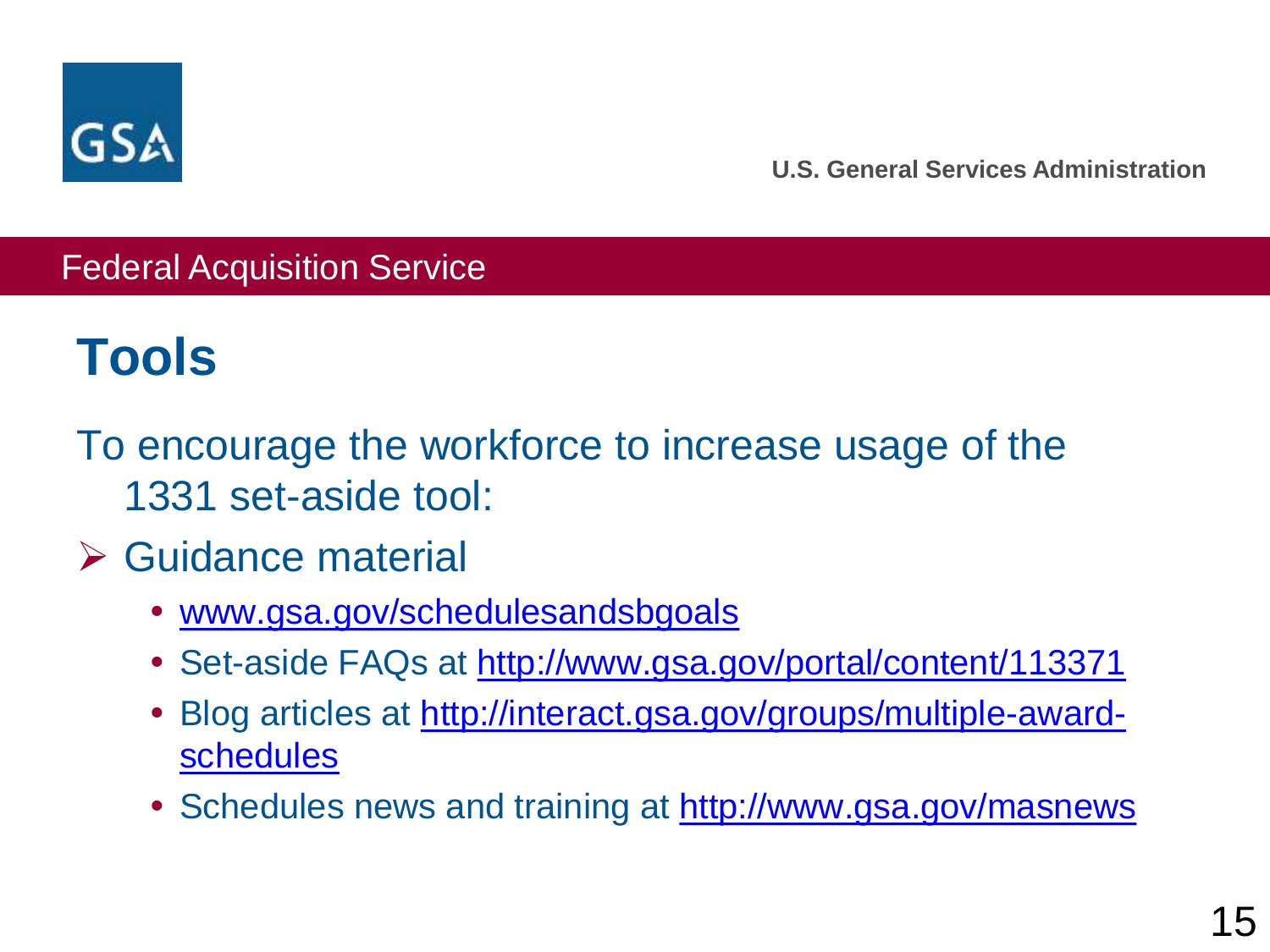

#### Federal Acquisition Service

### **Tools**

To encourage the workforce to increase usage of the 1331 set-aside tool:

### **≻ Guidance material**

- [www.gsa.gov/schedulesandsbgoals](http://www.gsa.gov/schedulesandsbgoals)
- Set-aside FAQs at <http://www.gsa.gov/portal/content/113371>
- [Blog articles at http://interact.gsa.gov/groups/multiple-award](http://interact.gsa.gov/groups/multiple-award-schedules)schedules
- Schedules news and training at<http://www.gsa.gov/masnews>